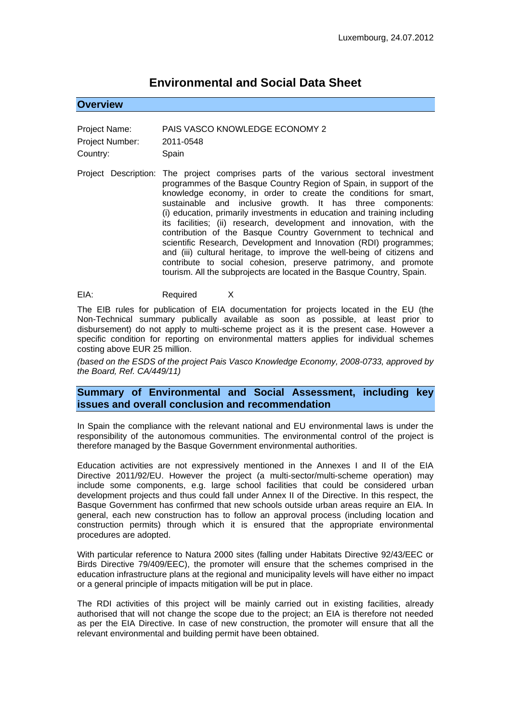# **Environmental and Social Data Sheet**

# **Overview**

| Project Name:   | PAIS VASCO KNOWLEDGE ECONOMY 2 |
|-----------------|--------------------------------|
| Project Number: | 2011-0548                      |
| Country:        | Spain                          |

Project Description: The project comprises parts of the various sectoral investment programmes of the Basque Country Region of Spain, in support of the knowledge economy, in order to create the conditions for smart, sustainable and inclusive growth. It has three components: (i) education, primarily investments in education and training including its facilities; (ii) research, development and innovation, with the contribution of the Basque Country Government to technical and scientific Research, Development and Innovation (RDI) programmes; and (iii) cultural heritage, to improve the well-being of citizens and contribute to social cohesion, preserve patrimony, and promote tourism. All the subprojects are located in the Basque Country, Spain.

EIA: Required X

The EIB rules for publication of EIA documentation for projects located in the EU (the Non-Technical summary publically available as soon as possible, at least prior to disbursement) do not apply to multi-scheme project as it is the present case. However a specific condition for reporting on environmental matters applies for individual schemes costing above EUR 25 million.

*(based on the ESDS of the project Pais Vasco Knowledge Economy, 2008-0733, approved by the Board, Ref. CA/449/11)*

## **Summary of Environmental and Social Assessment, including key issues and overall conclusion and recommendation**

In Spain the compliance with the relevant national and EU environmental laws is under the responsibility of the autonomous communities. The environmental control of the project is therefore managed by the Basque Government environmental authorities.

Education activities are not expressively mentioned in the Annexes I and II of the EIA Directive 2011/92/EU. However the project (a multi-sector/multi-scheme operation) may include some components, e.g. large school facilities that could be considered urban development projects and thus could fall under Annex II of the Directive. In this respect, the Basque Government has confirmed that new schools outside urban areas require an EIA. In general, each new construction has to follow an approval process (including location and construction permits) through which it is ensured that the appropriate environmental procedures are adopted.

With particular reference to Natura 2000 sites (falling under Habitats Directive 92/43/EEC or Birds Directive 79/409/EEC), the promoter will ensure that the schemes comprised in the education infrastructure plans at the regional and municipality levels will have either no impact or a general principle of impacts mitigation will be put in place.

The RDI activities of this project will be mainly carried out in existing facilities, already authorised that will not change the scope due to the project; an EIA is therefore not needed as per the EIA Directive. In case of new construction, the promoter will ensure that all the relevant environmental and building permit have been obtained.